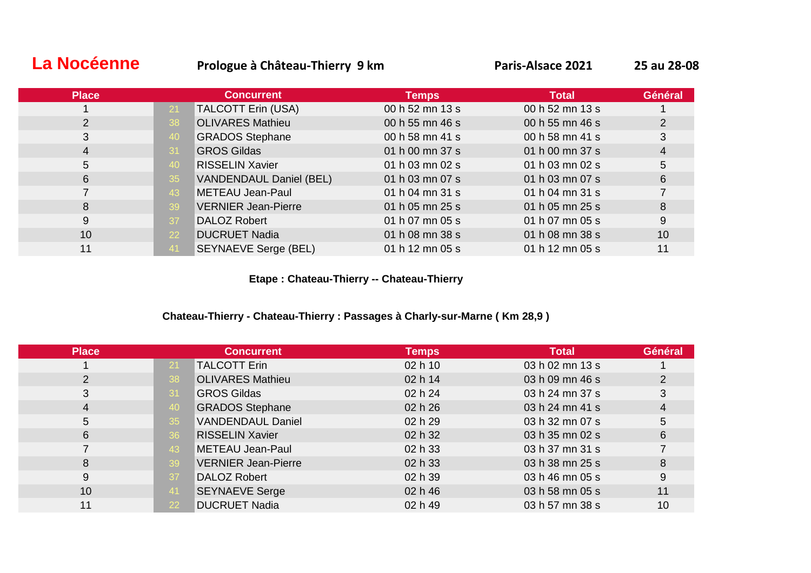# **La Nocéenne Prologue à Château-Thierry 9 km Paris-Alsace 2021 25 au 28-08**

| <b>Place</b> |     | <b>Concurrent</b>              | <b>Temps</b>    | <b>Total</b>              | Général |
|--------------|-----|--------------------------------|-----------------|---------------------------|---------|
|              | 21  | <b>TALCOTT Erin (USA)</b>      | 00 h 52 mn 13 s | 00 h 52 mn 13 s           |         |
|              | 38  | <b>OLIVARES Mathieu</b>        | 00 h 55 mn 46 s | 00 h 55 mn 46 s           | 2       |
| 3            | 40  | <b>GRADOS Stephane</b>         | 00 h 58 mn 41 s | 00 h 58 mn 41 s           | 3       |
| 4            | -31 | <b>GROS Gildas</b>             | 01 h 00 mn 37 s | 01 h 00 mn 37 s           | 4       |
| 5            | 40  | <b>RISSELIN Xavier</b>         | 01 h 03 mn 02 s | 01 h 03 mn 02 s           | 5       |
| 6            | 35  | <b>VANDENDAUL Daniel (BEL)</b> | 01 h 03 mn 07 s | 01 h 03 mn 07 s           | 6       |
|              | 43  | METEAU Jean-Paul               | 01 h 04 mn 31 s | 01 h 04 mn $31 \text{ s}$ |         |
| 8            | 39  | <b>VERNIER Jean-Pierre</b>     | 01 h 05 mn 25 s | 01 h 05 mn 25 s           | 8       |
| 9            | 37  | <b>DALOZ Robert</b>            | 01 h 07 mn 05 s | 01 h 07 mn 05 s           | 9       |
| 10           | 22  | <b>DUCRUET Nadia</b>           | 01 h 08 mn 38 s | 01 h 08 mn 38 s           | 10      |
| 11           | -41 | <b>SEYNAEVE Serge (BEL)</b>    | 01 h 12 mn 05 s | 01 h 12 mn 05 s           | 11      |

**Etape : Chateau-Thierry -- Chateau-Thierry**

#### **Chateau-Thierry - Chateau-Thierry : Passages à Charly-sur-Marne ( Km 28,9 )**

| <b>Place</b> | <b>Concurrent</b>                | <b>Temps</b> | <b>Total</b>    | Général |
|--------------|----------------------------------|--------------|-----------------|---------|
|              | <b>TALCOTT Erin</b><br>21        | 02 h 10      | 03 h 02 mn 13 s |         |
| 2            | <b>OLIVARES Mathieu</b><br>38    | 02 h 14      | 03 h 09 mn 46 s |         |
| 3            | <b>GROS Gildas</b><br>31         | 02 h 24      | 03 h 24 mn 37 s |         |
| 4            | <b>GRADOS Stephane</b><br>40     | 02 h 26      | 03 h 24 mn 41 s | 4       |
| 5            | <b>VANDENDAUL Daniel</b><br>35   | 02 h 29      | 03 h 32 mn 07 s | 5       |
| 6            | <b>RISSELIN Xavier</b><br>36     | 02 h 32      | 03 h 35 mn 02 s | 6       |
|              | <b>METEAU Jean-Paul</b><br>43    | 02 h 33      | 03 h 37 mn 31 s |         |
| 8            | <b>VERNIER Jean-Pierre</b><br>39 | 02 h 33      | 03 h 38 mn 25 s | 8       |
| 9            | <b>DALOZ Robert</b><br>37        | 02 h 39      | 03 h 46 mn 05 s | 9       |
| 10           | <b>SEYNAEVE Serge</b><br>41      | 02 h 46      | 03 h 58 mn 05 s | 11      |
| 11           | <b>DUCRUET Nadia</b><br>22       | 02 h 49      | 03 h 57 mn 38 s | 10      |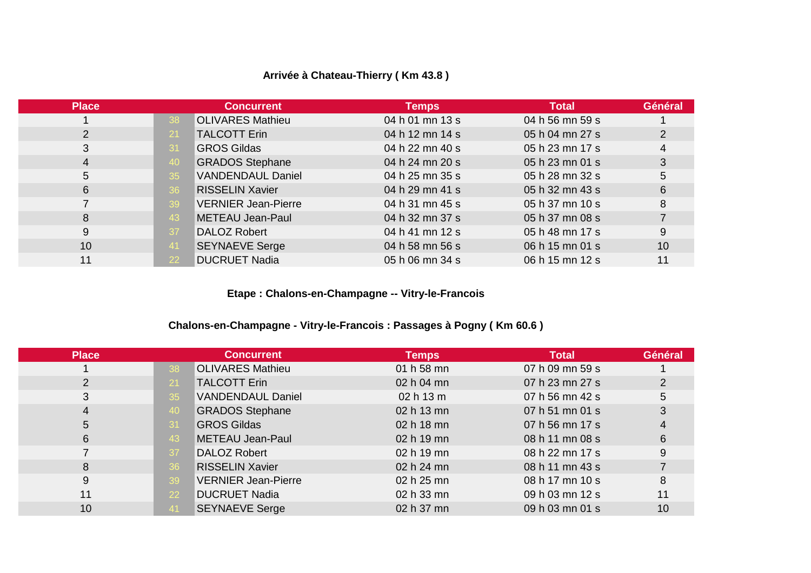# **Arrivée à Chateau-Thierry ( Km 43.8 )**

| <b>Place</b> |                            | <b>Concurrent</b>          | <b>Temps</b>    | <b>Total</b>    | Général |  |
|--------------|----------------------------|----------------------------|-----------------|-----------------|---------|--|
|              | -38                        | <b>OLIVARES Mathieu</b>    | 04 h 01 mn 13 s | 04 h 56 mn 59 s |         |  |
| 2            | <b>TALCOTT Erin</b><br>-21 |                            | 04 h 12 mn 14 s | 05 h 04 mn 27 s |         |  |
| 3            | <b>GROS Gildas</b><br>-31  |                            | 04 h 22 mn 40 s | 05 h 23 mn 17 s | 4       |  |
| 4            | -40                        | <b>GRADOS Stephane</b>     | 04 h 24 mn 20 s | 05 h 23 mn 01 s | 3       |  |
| 5            | 35                         | <b>VANDENDAUL Daniel</b>   | 04 h 25 mn 35 s | 05 h 28 mn 32 s | 5       |  |
| 6            | 36                         | <b>RISSELIN Xavier</b>     | 04 h 29 mn 41 s | 05 h 32 mn 43 s | 6       |  |
|              | -39                        | <b>VERNIER Jean-Pierre</b> | 04 h 31 mn 45 s | 05 h 37 mn 10 s | 8       |  |
| 8            | 43                         | METEAU Jean-Paul           | 04 h 32 mn 37 s | 05 h 37 mn 08 s |         |  |
| 9            | DALOZ Robert<br>-37        |                            | 04 h 41 mn 12 s | 05 h 48 mn 17 s | 9       |  |
| 10           | -41                        | <b>SEYNAEVE Serge</b>      | 04 h 58 mn 56 s | 06 h 15 mn 01 s | 10      |  |
| 11           |                            | <b>DUCRUET Nadia</b>       | 05 h 06 mn 34 s | 06 h 15 mn 12 s | 11      |  |
|              |                            |                            |                 |                 |         |  |

**Etape : Chalons-en-Champagne -- Vitry-le-Francois**

# **Chalons-en-Champagne - Vitry-le-Francois : Passages à Pogny ( Km 60.6 )**

| <b>Place</b> |           | <b>Concurrent</b>          | <b>Temps</b> | <b>Total</b>    | Général |
|--------------|-----------|----------------------------|--------------|-----------------|---------|
|              | 38        | <b>OLIVARES Mathieu</b>    | 01 h 58 mn   | 07 h 09 mn 59 s |         |
| 2            | <b>21</b> | <b>TALCOTT Erin</b>        | 02 h 04 mn   | 07 h 23 mn 27 s | 2       |
| 3            | 35        | <b>VANDENDAUL Daniel</b>   | 02 h 13 m    | 07 h 56 mn 42 s | 5       |
| 4            | 40        | <b>GRADOS Stephane</b>     | 02 h 13 mn   | 07 h 51 mn 01 s |         |
| 5            | 31        | <b>GROS Gildas</b>         | 02 h 18 mn   | 07 h 56 mn 17 s |         |
| 6            | 43        | METEAU Jean-Paul           | 02 h 19 mn   | 08 h 11 mn 08 s | 6       |
|              | 37        | DALOZ Robert               | 02 h 19 mn   | 08 h 22 mn 17 s | 9       |
| 8            | 36        | <b>RISSELIN Xavier</b>     | 02 h 24 mn   | 08 h 11 mn 43 s |         |
| 9            | 39        | <b>VERNIER Jean-Pierre</b> | 02 h 25 mn   | 08 h 17 mn 10 s | 8       |
| 11           | <b>22</b> | <b>DUCRUET Nadia</b>       | 02 h 33 mn   | 09 h 03 mn 12 s | 11      |
| 10           |           | <b>SEYNAEVE Serge</b>      | 02 h 37 mn   | 09 h 03 mn 01 s | 10      |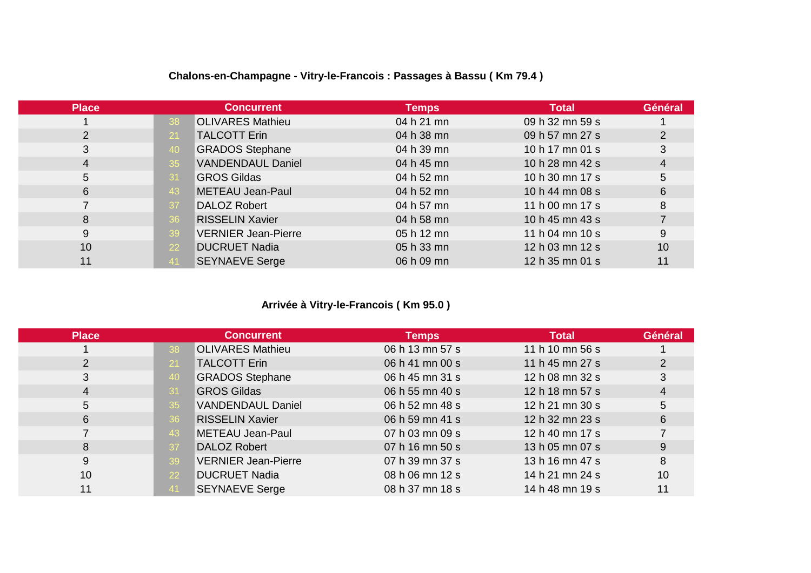| <b>Place</b> |       | <b>Concurrent</b>          | <b>Temps</b> | <b>Total</b>    | Général        |
|--------------|-------|----------------------------|--------------|-----------------|----------------|
|              | 38    | <b>OLIVARES Mathieu</b>    | 04 h 21 mn   | 09 h 32 mn 59 s |                |
| 2            | 21    | <b>TALCOTT Erin</b>        | 04 h 38 mn   | 09 h 57 mn 27 s | $\overline{2}$ |
| 3            | 40    | <b>GRADOS Stephane</b>     | 04 h 39 mn   | 10 h 17 mn 01 s | 3              |
| 4            | 35    | <b>VANDENDAUL Daniel</b>   | 04 h 45 mn   | 10 h 28 mn 42 s | 4              |
| 5            | -31   | <b>GROS Gildas</b>         | 04 h 52 mn   | 10 h 30 mn 17 s | 5              |
| 6            | 43    | METEAU Jean-Paul           | 04 h 52 mn   | 10 h 44 mn 08 s | 6              |
|              | -37   | <b>DALOZ Robert</b>        | 04 h 57 mn   | 11 h 00 mn 17 s | 8              |
| 8            | 36    | <b>RISSELIN Xavier</b>     | 04 h 58 mn   | 10 h 45 mn 43 s |                |
| 9            | 39    | <b>VERNIER Jean-Pierre</b> | 05 h 12 mn   | 11 h 04 mn 10 s | 9              |
| 10           | 22    | <b>DUCRUET Nadia</b>       | 05 h 33 mn   | 12 h 03 mn 12 s | 10             |
| 11           | $-41$ | <b>SEYNAEVE Serge</b>      | 06 h 09 mn   | 12 h 35 mn 01 s | 11             |

# **Chalons-en-Champagne - Vitry-le-Francois : Passages à Bassu ( Km 79.4 )**

# **Arrivée à Vitry-le-Francois ( Km 95.0 )**

| <b>Place</b> |           | <b>Concurrent</b>          | <b>Temps</b>    | <b>Total</b>    | Général |
|--------------|-----------|----------------------------|-----------------|-----------------|---------|
|              | 38        | <b>OLIVARES Mathieu</b>    | 06 h 13 mn 57 s | 11 h 10 mn 56 s |         |
| 2            | 21        | <b>TALCOTT Erin</b>        | 06 h 41 mn 00 s | 11 h 45 mn 27 s |         |
| 3            | -40       | <b>GRADOS Stephane</b>     | 06 h 45 mn 31 s | 12 h 08 mn 32 s |         |
| 4            | 31        | <b>GROS Gildas</b>         | 06 h 55 mn 40 s | 12 h 18 mn 57 s | 4       |
| 5            | 35        | <b>VANDENDAUL Daniel</b>   | 06 h 52 mn 48 s | 12 h 21 mn 30 s | 5       |
| 6            | 36        | <b>RISSELIN Xavier</b>     | 06 h 59 mn 41 s | 12 h 32 mn 23 s | 6       |
|              | 43        | METEAU Jean-Paul           | 07 h 03 mn 09 s | 12 h 40 mn 17 s |         |
| 8            | -37       | <b>DALOZ Robert</b>        | 07 h 16 mn 50 s | 13 h 05 mn 07 s | 9       |
| 9            | -39       | <b>VERNIER Jean-Pierre</b> | 07 h 39 mn 37 s | 13 h 16 mn 47 s | 8       |
| 10           | <b>22</b> | <b>DUCRUET Nadia</b>       | 08 h 06 mn 12 s | 14 h 21 mn 24 s | 10      |
| 11           | -41       | <b>SEYNAEVE Serge</b>      | 08 h 37 mn 18 s | 14 h 48 mn 19 s | 11      |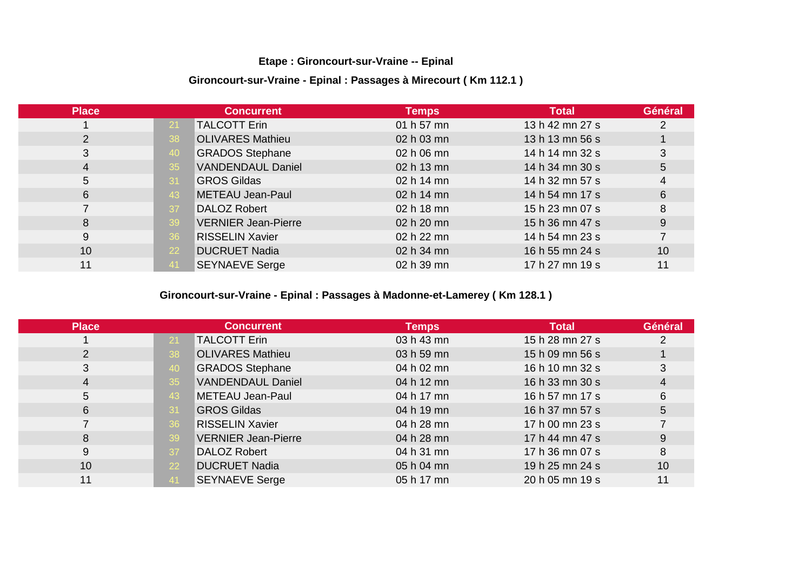#### **Etape : Gironcourt-sur-Vraine -- Epinal**

#### **Gironcourt-sur-Vraine - Epinal : Passages à Mirecourt ( Km 112.1 )**

| <b>Place</b> |           | <b>Concurrent</b>          | <b>Temps</b> | <b>Total</b>    | Général |
|--------------|-----------|----------------------------|--------------|-----------------|---------|
|              | -21       | <b>TALCOTT Erin</b>        | 01 h 57 mn   | 13 h 42 mn 27 s |         |
| 2            | 38        | <b>OLIVARES Mathieu</b>    | 02 h 03 mn   | 13 h 13 mn 56 s |         |
| 3            | 40        | <b>GRADOS Stephane</b>     | 02 h 06 mn   | 14 h 14 mn 32 s | 3       |
| 4            | 35        | <b>VANDENDAUL Daniel</b>   | 02 h 13 mn   | 14 h 34 mn 30 s | 5       |
| 5            | 31        | <b>GROS Gildas</b>         | 02 h 14 mn   | 14 h 32 mn 57 s | 4       |
| 6            | 43        | METEAU Jean-Paul           | 02 h 14 mn   | 14 h 54 mn 17 s | 6       |
|              | 37        | <b>DALOZ Robert</b>        | 02 h 18 mn   | 15 h 23 mn 07 s | 8       |
| 8            | -39       | <b>VERNIER Jean-Pierre</b> | 02 h 20 mn   | 15 h 36 mn 47 s | 9       |
| 9            | 36        | <b>RISSELIN Xavier</b>     | 02 h 22 mn   | 14 h 54 mn 23 s |         |
| 10           | <b>22</b> | <b>DUCRUET Nadia</b>       | 02 h 34 mn   | 16 h 55 mn 24 s | 10      |
| 11           | 41        | <b>SEYNAEVE Serge</b>      | 02 h 39 mn   | 17 h 27 mn 19 s | 11      |

# **Gironcourt-sur-Vraine - Epinal : Passages à Madonne-et-Lamerey ( Km 128.1 )**

| <b>Place</b> |                 | <b>Concurrent</b>          | <b>Temps</b> | <b>Total</b>    | Général |
|--------------|-----------------|----------------------------|--------------|-----------------|---------|
|              | 21              | <b>TALCOTT Erin</b>        | 03 h 43 mn   | 15 h 28 mn 27 s |         |
| 2            | 38              | <b>OLIVARES Mathieu</b>    | 03 h 59 mn   | 15 h 09 mn 56 s |         |
| 3            | 40              | <b>GRADOS Stephane</b>     | 04 h 02 mn   | 16 h 10 mn 32 s | 3       |
| 4            | 35 <sub>2</sub> | <b>VANDENDAUL Daniel</b>   | 04 h 12 mn   | 16 h 33 mn 30 s | 4       |
| 5            | 43              | METEAU Jean-Paul           | 04 h 17 mn   | 16 h 57 mn 17 s | 6       |
| 6            | 31              | <b>GROS Gildas</b>         | 04 h 19 mn   | 16 h 37 mn 57 s | 5       |
|              | 36              | <b>RISSELIN Xavier</b>     | 04 h 28 mn   | 17 h 00 mn 23 s |         |
| 8            | 39              | <b>VERNIER Jean-Pierre</b> | 04 h 28 mn   | 17 h 44 mn 47 s | 9       |
| 9            | -37             | <b>DALOZ Robert</b>        | 04 h 31 mn   | 17 h 36 mn 07 s | 8       |
| 10           | <b>22</b>       | <b>DUCRUET Nadia</b>       | 05 h 04 mn   | 19 h 25 mn 24 s | 10      |
| 11           |                 | <b>SEYNAEVE Serge</b>      | 05 h 17 mn   | 20 h 05 mn 19 s | 11      |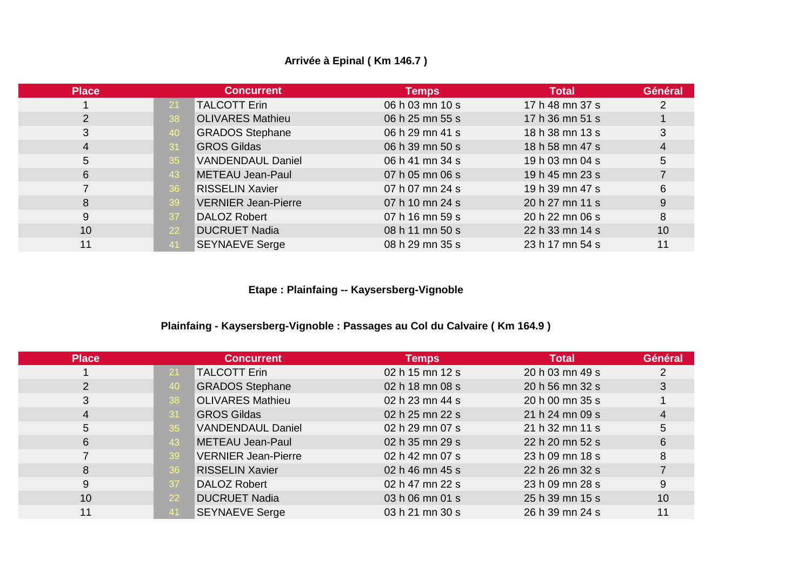### **Arrivée à Epinal ( Km 146.7 )**

| <b>Place</b> | <b>Concurrent</b>                | <b>Temps</b>    | <b>Total</b>    | Général |
|--------------|----------------------------------|-----------------|-----------------|---------|
|              | <b>TALCOTT Erin</b><br>21        | 06 h 03 mn 10 s | 17 h 48 mn 37 s | 2       |
|              | <b>OLIVARES Mathieu</b><br>38    | 06 h 25 mn 55 s | 17 h 36 mn 51 s |         |
| 3            | <b>GRADOS Stephane</b><br>40     | 06 h 29 mn 41 s | 18 h 38 mn 13 s | 3       |
| 4            | <b>GROS Gildas</b><br>-31        | 06 h 39 mn 50 s | 18 h 58 mn 47 s | 4       |
| 5            | <b>VANDENDAUL Daniel</b><br>35   | 06 h 41 mn 34 s | 19 h 03 mn 04 s | 5       |
| 6            | METEAU Jean-Paul<br>43           | 07 h 05 mn 06 s | 19 h 45 mn 23 s |         |
|              | <b>RISSELIN Xavier</b><br>36     | 07 h 07 mn 24 s | 19 h 39 mn 47 s | 6       |
| 8            | <b>VERNIER Jean-Pierre</b><br>39 | 07 h 10 mn 24 s | 20 h 27 mn 11 s | 9       |
| 9            | <b>DALOZ Robert</b><br>37        | 07 h 16 mn 59 s | 20 h 22 mn 06 s | 8       |
| 10           | <b>DUCRUET Nadia</b><br>22       | 08 h 11 mn 50 s | 22 h 33 mn 14 s | 10      |
| 11           | <b>SEYNAEVE Serge</b>            | 08 h 29 mn 35 s | 23 h 17 mn 54 s | 11      |

**Etape : Plainfaing -- Kaysersberg-Vignoble**

#### **Plainfaing - Kaysersberg-Vignoble : Passages au Col du Calvaire ( Km 164.9 )**

| <b>Place</b> | <b>Concurrent</b>                | <b>Temps</b>    | <b>Total</b>    | Général |
|--------------|----------------------------------|-----------------|-----------------|---------|
|              | <b>TALCOTT Erin</b><br>-21       | 02 h 15 mn 12 s | 20 h 03 mn 49 s |         |
|              | <b>GRADOS Stephane</b>           | 02 h 18 mn 08 s | 20 h 56 mn 32 s | 3       |
| 3            | <b>OLIVARES Mathieu</b><br>38    | 02 h 23 mn 44 s | 20 h 00 mn 35 s |         |
| 4            | <b>GROS Gildas</b>               | 02 h 25 mn 22 s | 21 h 24 mn 09 s | 4       |
| 5            | <b>VANDENDAUL Daniel</b><br>35   | 02 h 29 mn 07 s | 21 h 32 mn 11 s | 5       |
| 6            | METEAU Jean-Paul<br>43           | 02 h 35 mn 29 s | 22 h 20 mn 52 s | 6       |
|              | <b>VERNIER Jean-Pierre</b><br>39 | 02 h 42 mn 07 s | 23 h 09 mn 18 s | 8       |
| 8            | <b>RISSELIN Xavier</b><br>36     | 02 h 46 mn 45 s | 22 h 26 mn 32 s |         |
| 9            | DALOZ Robert<br>37               | 02 h 47 mn 22 s | 23 h 09 mn 28 s | 9       |
| 10           | <b>DUCRUET Nadia</b><br>22       | 03 h 06 mn 01 s | 25 h 39 mn 15 s | 10      |
| 11           | <b>SEYNAEVE Serge</b>            | 03 h 21 mn 30 s | 26 h 39 mn 24 s | 11      |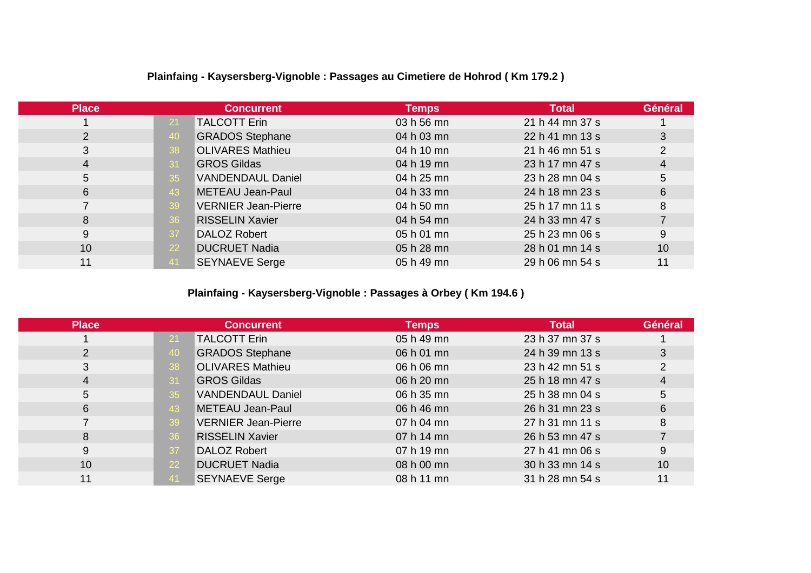| <b>Place</b> |     | <b>Concurrent</b>          | <b>Temps</b> | <b>Total</b>    | Général        |
|--------------|-----|----------------------------|--------------|-----------------|----------------|
|              | -21 | <b>TALCOTT Erin</b>        | 03 h 56 mn   | 21 h 44 mn 37 s |                |
| 2            | 40  | <b>GRADOS Stephane</b>     | 04 h 03 mn   | 22 h 41 mn 13 s | 3              |
| 3            | 38  | <b>OLIVARES Mathieu</b>    | 04 h 10 mn   | 21 h 46 mn 51 s | $\overline{2}$ |
| 4            | -31 | <b>GROS Gildas</b>         | 04 h 19 mn   | 23 h 17 mn 47 s | 4              |
| 5            | 35  | <b>VANDENDAUL Daniel</b>   | 04 h 25 mn   | 23 h 28 mn 04 s | 5              |
| 6            | 43  | METEAU Jean-Paul           | 04 h 33 mn   | 24 h 18 mn 23 s | 6              |
|              | -39 | <b>VERNIER Jean-Pierre</b> | 04 h 50 mn   | 25 h 17 mn 11 s | 8              |
| 8            | 36  | <b>RISSELIN Xavier</b>     | 04 h 54 mn   | 24 h 33 mn 47 s |                |
| 9            | -37 | DALOZ Robert               | 05 h 01 mn   | 25 h 23 mn 06 s | 9              |
| 10           | 22  | <b>DUCRUET Nadia</b>       | 05 h 28 mn   | 28 h 01 mn 14 s | 10             |
| 11           | -41 | <b>SEYNAEVE Serge</b>      | 05 h 49 mn   | 29 h 06 mn 54 s | 11             |

# **Plainfaing - Kaysersberg-Vignoble : Passages au Cimetiere de Hohrod ( Km 179.2 )**

# **Plainfaing - Kaysersberg-Vignoble : Passages à Orbey ( Km 194.6 )**

| <b>Place</b> |                               | <b>Concurrent</b>          | <b>Temps</b> | <b>Total</b>    | Général |
|--------------|-------------------------------|----------------------------|--------------|-----------------|---------|
|              | <b>TALCOTT Erin</b><br>-21    |                            | 05 h 49 mn   | 23 h 37 mn 37 s |         |
| 2            | <b>GRADOS Stephane</b><br>40  |                            | 06 h 01 mn   | 24 h 39 mn 13 s | 3       |
| 3            | <b>OLIVARES Mathieu</b><br>38 |                            | 06 h 06 mn   | 23 h 42 mn 51 s | 2       |
| 4            | <b>GROS Gildas</b><br>-31     |                            | 06 h 20 mn   | 25 h 18 mn 47 s | 4       |
| 5            | 35                            | <b>VANDENDAUL Daniel</b>   | 06 h 35 mn   | 25 h 38 mn 04 s | 5       |
| 6            | METEAU Jean-Paul<br>43        |                            | 06 h 46 mn   | 26 h 31 mn 23 s | 6       |
|              | 39                            | <b>VERNIER Jean-Pierre</b> | 07 h 04 mn   | 27 h 31 mn 11 s | 8       |
| 8            | <b>RISSELIN Xavier</b><br>36  |                            | 07 h 14 mn   | 26 h 53 mn 47 s |         |
| 9            | <b>DALOZ Robert</b><br>-37    |                            | 07 h 19 mn   | 27 h 41 mn 06 s | 9       |
| 10           | <b>DUCRUET Nadia</b><br>22    |                            | 08 h 00 mn   | 30 h 33 mn 14 s | 10      |
| 11           | <b>SEYNAEVE Serge</b>         |                            | 08 h 11 mn   | 31 h 28 mn 54 s | 11      |